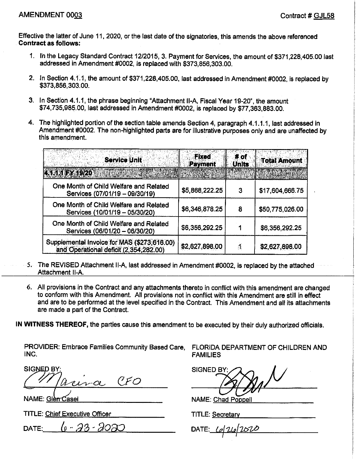Effective the latter of June 11, 2020, or the last date of the signatories, this amends the above referenced **Contract as follows:** 

- 1. In the Legacy Standard Contract 12/2015, 3. Payment for Services, the amount of \$371,228,405.00 last addressed in Amendment #0002, is replaced with \$373,856,303.00.
- 2. In Section 4.1.1, the amount of \$371,228,405.00, last addressed in Amendment #0002, is replaced by \$373,856,303.00.
- 3. In Section 4.1.1, the phrase beginning "Attachment II-A, Fiscal Year 19-20", the amount \$74,735,985.00, last addressed in Amendment #0002, is replaced by \$77,363,883.00.
- 4. The highlighted portion of the section table amends Section 4, paragraph 4.1.1.1, last addressed in Amendment #0002. The non-highlighted parts are for illustrative purposes only and are unaffected by this amendment.

| <b>Service Unit</b>                                                                   | <b>Fixed</b><br><b>Payment</b> | # of<br><b>Units</b> | <b>Total Amount</b> |
|---------------------------------------------------------------------------------------|--------------------------------|----------------------|---------------------|
|                                                                                       |                                |                      |                     |
| One Month of Child Welfare and Related<br>Services (07/01/19 - 09/30/19)              | \$5,868,222.25                 | 3                    | \$17,604,666.75     |
| One Month of Child Welfare and Related<br>Services (10/01/19 - 05/30/20)              | \$6,346,878.25                 | 8                    | \$50,775,026.00     |
| One Month of Child Welfare and Related<br>Services (06/01/20 - 06/30/20)              | \$6,356,292.25                 |                      | \$6,356,292.25      |
| Supplemental Invoice for MAS (\$273,616.00)<br>and Operational deficit (2,354,282.00) | \$2,627,898.00                 | đ                    | \$2,627,898.00      |

- 5. The REVISED Attachment II-A, last addressed in Amendment #0002, is replaced by the attached Attachment II-A.
	- 6. All provisions in the Contract and any attachments thereto in conflict with this amendment are changed to conform with this Amendment. All provisions not in conflict with this Amendment are still in effect and are to be performed at the level specified in the Contract. This Amendment and all its attachments are made a part of the Contract.

IN WITNESS THEREOF, the parties cause this amendment to be executed by their duly authorized officials.

PROVIDER: Embrace Families Community Based Care. INC.

**SIGNED B**  $C \cancel{F} O$  $11 - C$ 

NAME: Glen Casel

**TITLE: Chief Executive Officer** 

6-23-2020 DATE:

FLORIDA DEPARTMENT OF CHILDREN AND **FAMILIES** 

**SIGNED BY** 

**NAME: Chad Poppell** 

**TITLE: Secretary** 

DATE: